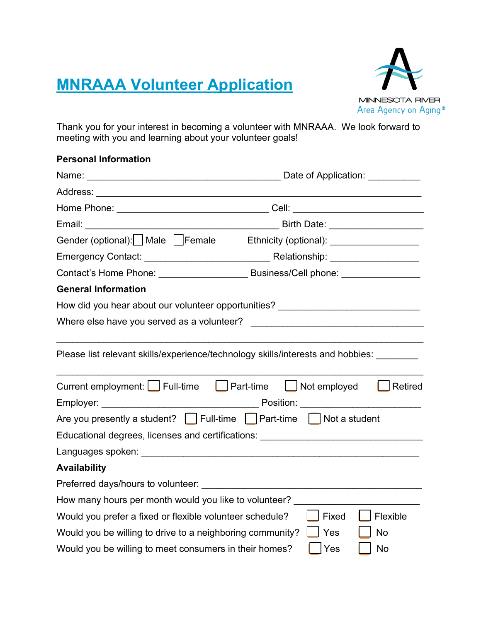## **MNRAAA Volunteer Application**



Thank you for your interest in becoming a volunteer with MNRAAA. We look forward to meeting with you and learning about your volunteer goals!

| <b>Personal Information</b>                                                      |                                                                                                                            |  |  |  |
|----------------------------------------------------------------------------------|----------------------------------------------------------------------------------------------------------------------------|--|--|--|
|                                                                                  | Date of Application: <u>Date of</u> Application:                                                                           |  |  |  |
|                                                                                  |                                                                                                                            |  |  |  |
|                                                                                  | Home    Phone: _________________________________Cell: __________________________                                           |  |  |  |
|                                                                                  | Birth Date: ______________________                                                                                         |  |  |  |
|                                                                                  | Gender (optional):__  Male ___ Female     Ethnicity (optional): ________________                                           |  |  |  |
|                                                                                  |                                                                                                                            |  |  |  |
|                                                                                  | Contact's Home Phone: _____________________________Business/Cell phone: _______________                                    |  |  |  |
| <b>General Information</b>                                                       |                                                                                                                            |  |  |  |
| How did you hear about our volunteer opportunities? ____________________________ |                                                                                                                            |  |  |  |
|                                                                                  |                                                                                                                            |  |  |  |
|                                                                                  | Please list relevant skills/experience/technology skills/interests and hobbies:                                            |  |  |  |
|                                                                                  | Current employment:     Full-time       Part-time       Not employed       Retired<br>Position: <u>___________________</u> |  |  |  |
| Are you presently a student? [_]Full-time [_]Part-time ]  Not a student          |                                                                                                                            |  |  |  |
|                                                                                  | Educational degrees, licenses and certifications: Education of the control of the control of the control of th             |  |  |  |
|                                                                                  |                                                                                                                            |  |  |  |
| <b>Availability</b>                                                              |                                                                                                                            |  |  |  |
| Preferred days/hours to volunteer: ________________________________              |                                                                                                                            |  |  |  |
| How many hours per month would you like to volunteer?                            |                                                                                                                            |  |  |  |
| Would you prefer a fixed or flexible volunteer schedule?                         | Flexible<br>Fixed                                                                                                          |  |  |  |
| Would you be willing to drive to a neighboring community?                        | Yes<br><b>No</b>                                                                                                           |  |  |  |

Would you be willing to meet consumers in their homes?  $\Box$  Yes  $\Box$  No